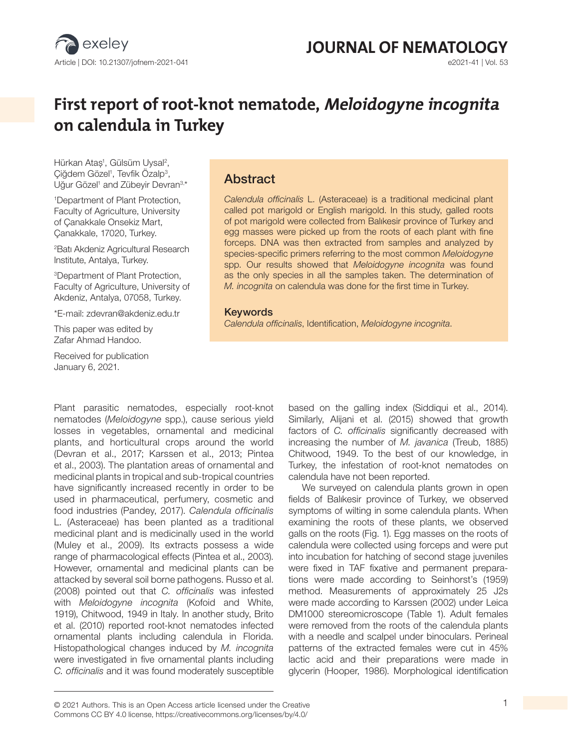

# **JOURNAL OF NEMATOLOGY**<br>  $e^{2021-41 \mid Vol. 53}$

# **First report of root-knot nematode, Meloidogyne incognita on calendula in Turkey**

Hürkan Ataş<sup>ı</sup>, Gülsüm Uysal<sup>2</sup>, Çiğdem Gözel<sup>ı</sup>, Tevfik Ozalp<sup>3</sup>, Uğur Gözel<sup>ı</sup> and Zübeyir Devran<sup>3,\*</sup>

1 Department of Plant Protection, Faculty of Agriculture, University of Çanakkale Onsekiz Mart, Çanakkale, 17020, Turkey.

2 Batı Akdeniz Agricultural Research Institute, Antalya, Turkey.

3Department of Plant Protection, Faculty of Agriculture, University of Akdeniz, Antalya, 07058, Turkey.

\*E-mail: zdevran@akdeniz.edu.tr

This paper was edited by Zafar Ahmad Handoo.

Received for publication January 6, 2021.

### Abstract

*Calendula officinalis* L. (Asteraceae) is a traditional medicinal plant called pot marigold or English marigold. In this study, galled roots of pot marigold were collected from Balıkesir province of Turkey and egg masses were picked up from the roots of each plant with fine forceps. DNA was then extracted from samples and analyzed by species-specific primers referring to the most common *Meloidogyne*  spp. Our results showed that *Meloidogyne incognita* was found as the only species in all the samples taken. The determination of *M. incognita* on calendula was done for the first time in Turkey.

#### Keywords

*Calendula officinalis*, Identification, *Meloidogyne incognita*.

Plant parasitic nematodes, especially root-knot nematodes (*Meloidogyne* spp.), cause serious yield losses in vegetables, ornamental and medicinal plants, and horticultural crops around the world (Devran et al., 2017; Karssen et al., 2013; Pintea et al., 2003). The plantation areas of ornamental and medicinal plants in tropical and sub-tropical countries have significantly increased recently in order to be used in pharmaceutical, perfumery, cosmetic and food industries (Pandey, 2017). *Calendula officinalis* L. (Asteraceae) has been planted as a traditional medicinal plant and is medicinally used in the world (Muley et al., 2009). Its extracts possess a wide range of pharmacological effects (Pintea et al., 2003). However, ornamental and medicinal plants can be attacked by several soil borne pathogens. Russo et al. (2008) pointed out that *C. officinalis* was infested with *Meloidogyne incognita* (Kofoid and White, 1919), Chitwood, 1949 in Italy. In another study, Brito et al. (2010) reported root-knot nematodes infected ornamental plants including calendula in Florida. Histopathological changes induced by *M. incognita* were investigated in five ornamental plants including *C. officinalis* and it was found moderately susceptible based on the galling index (Siddiqui et al., 2014). Similarly, Alijani et al. (2015) showed that growth factors of *C. officinalis* significantly decreased with increasing the number of *M. javanica* (Treub, 1885) Chitwood, 1949. To the best of our knowledge, in Turkey, the infestation of root-knot nematodes on calendula have not been reported.

We surveyed on calendula plants grown in open fields of Balıkesir province of Turkey, we observed symptoms of wilting in some calendula plants. When examining the roots of these plants, we observed galls on the roots (Fig. 1). Egg masses on the roots of calendula were collected using forceps and were put into incubation for hatching of second stage juveniles were fixed in TAF fixative and permanent preparations were made according to Seinhorst's (1959) method. Measurements of approximately 25 J2s were made according to Karssen (2002) under Leica DM1000 stereomicroscope (Table 1). Adult females were removed from the roots of the calendula plants with a needle and scalpel under binoculars. Perineal patterns of the extracted females were cut in 45% lactic acid and their preparations were made in glycerin (Hooper, 1986). Morphological identification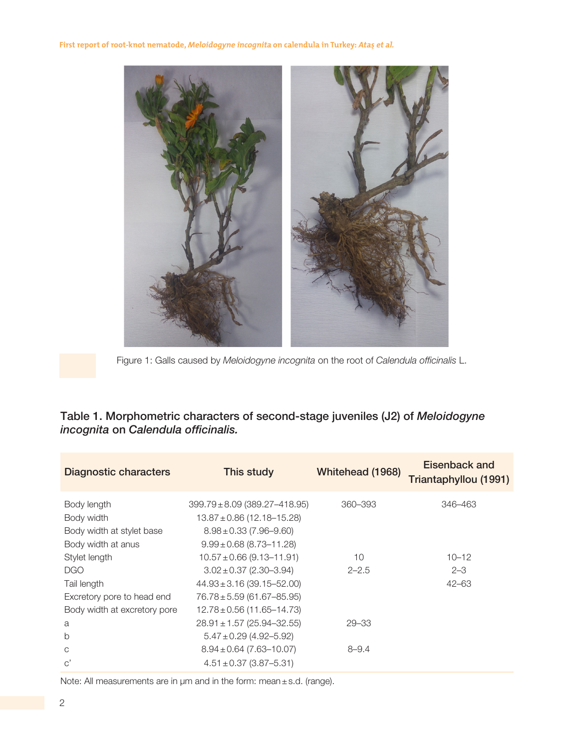

Figure 1: Galls caused by *Meloidogyne incognita* on the root of *Calendula officinalis* L.

# Table 1. Morphometric characters of second-stage juveniles (J2) of *Meloidogyne incognita* on *Calendula officinalis.*

| <b>Diagnostic characters</b> | This study                                                          | Whitehead (1968) | Eisenback and<br>Triantaphyllou (1991) |
|------------------------------|---------------------------------------------------------------------|------------------|----------------------------------------|
| Body length<br>Body width    | $399.79 \pm 8.09$ (389.27-418.95)<br>$13.87 \pm 0.86$ (12.18-15.28) | 360-393          | 346-463                                |
| Body width at stylet base    | $8.98 \pm 0.33$ (7.96-9.60)                                         |                  |                                        |
| Body width at anus           | $9.99 \pm 0.68$ (8.73-11.28)                                        |                  |                                        |
| Stylet length                | $10.57 \pm 0.66$ (9.13-11.91)                                       | 10               | $10 - 12$                              |
| <b>DGO</b>                   | $3.02 \pm 0.37$ (2.30-3.94)                                         | $2 - 2.5$        | $2 - 3$                                |
| Tail length                  | $44.93 \pm 3.16$ (39.15-52.00)                                      |                  | $42 - 63$                              |
| Excretory pore to head end   | 76.78±5.59 (61.67-85.95)                                            |                  |                                        |
| Body width at excretory pore | $12.78 \pm 0.56$ (11.65-14.73)                                      |                  |                                        |
| a                            | $28.91 \pm 1.57$ (25.94-32.55)                                      | $29 - 33$        |                                        |
| b                            | $5.47 \pm 0.29$ (4.92–5.92)                                         |                  |                                        |
| C                            | $8.94 \pm 0.64$ (7.63-10.07)                                        | $8 - 9.4$        |                                        |
| $\rm C'$                     | $4.51 \pm 0.37$ (3.87-5.31)                                         |                  |                                        |

Note: All measurements are in µm and in the form: mean±s.d. (range).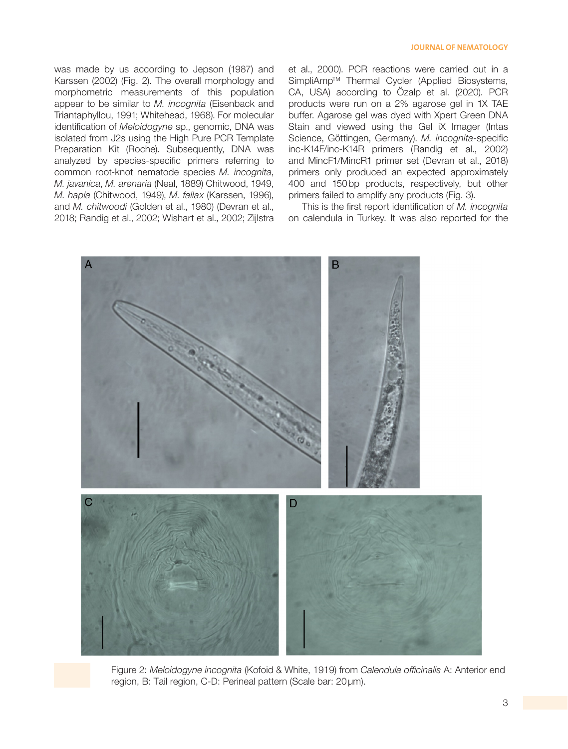was made by us according to Jepson (1987) and Karssen (2002) (Fig. 2). The overall morphology and morphometric measurements of this population appear to be similar to *M. incognita* (Eisenback and Triantaphyllou, 1991; Whitehead, 1968). For molecular identification of *Meloidogyne* sp., genomic, DNA was isolated from J2s using the High Pure PCR Template Preparation Kit (Roche). Subsequently, DNA was analyzed by species-specific primers referring to common root-knot nematode species *M. incognita*, *M. javanica*, *M. arenaria* (Neal, 1889) Chitwood, 1949, *M. hapla* (Chitwood, 1949), *M. fallax* (Karssen, 1996), and *M. chitwoodi* (Golden et al., 1980) (Devran et al., 2018; Randig et al., 2002; Wishart et al., 2002; Zijlstra et al., 2000). PCR reactions were carried out in a SimpliAmp™ Thermal Cycler (Applied Biosystems, CA, USA) according to Özalp et al. (2020). PCR products were run on a 2% agarose gel in 1X TAE buffer. Agarose gel was dyed with Xpert Green DNA Stain and viewed using the Gel iX Imager (Intas Science, Göttingen, Germany). *M. incognita*-specific inc-K14F/inc-K14R primers (Randig et al., 2002) and MincF1/MincR1 primer set (Devran et al., 2018) primers only produced an expected approximately 400 and 150bp products, respectively, but other primers failed to amplify any products (Fig. 3).

This is the first report identification of *M. incognita* on calendula in Turkey. It was also reported for the



Figure 2: *Meloidogyne incognita* (Kofoid & White, 1919) from *Calendula officinalis* A: Anterior end region, B: Tail region, C-D: Perineal pattern (Scale bar: 20µm).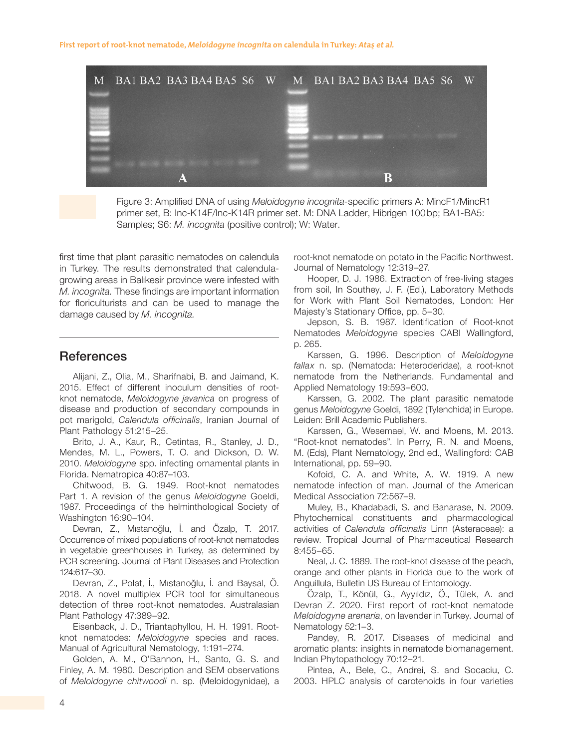**First report of root-knot nematode,** *Meloidogyne incognita* **on calendula in Turkey: Atas et al.** 



Figure 3: Amplified DNA of using *Meloidogyne incognita-*specific primers A: MincF1/MincR1 primer set, B: Inc-K14F/Inc-K14R primer set. M: DNA Ladder, Hibrigen 100bp; BA1-BA5: Samples; S6: *M. incognita* (positive control); W: Water.

first time that plant parasitic nematodes on calendula in Turkey. The results demonstrated that calendulagrowing areas in Balıkesir province were infested with *M. incognita.* These findings are important information for floriculturists and can be used to manage the damage caused by *M. incognita.*

# **References**

Alijani, Z., Olia, M., Sharifnabi, B. and Jaimand, K. 2015. Effect of different inoculum densities of rootknot nematode, *Meloidogyne javanica* on progress of disease and production of secondary compounds in pot marigold, *Calendula officinalis*, Iranian Journal of Plant Pathology 51:215–25.

Brito, J. A., Kaur, R., Cetintas, R., Stanley, J. D., Mendes, M. L., Powers, T. O. and Dickson, D. W. 2010. *Meloidogyne* spp. infecting ornamental plants in Florida. Nematropica 40:87–103.

Chitwood, B. G. 1949. Root-knot nematodes Part 1. A revision of the genus *Meloidogyne* Goeldi, 1987. Proceedings of the helminthological Society of Washington 16:90–104.

Devran, Z., Mıstanoğlu, İ. and Özalp, T. 2017. Occurrence of mixed populations of root-knot nematodes in vegetable greenhouses in Turkey, as determined by PCR screening. Journal of Plant Diseases and Protection 124:617–30.

Devran, Z., Polat, İ., Mıstanoğlu, İ. and Baysal, Ö. 2018. A novel multiplex PCR tool for simultaneous detection of three root-knot nematodes. Australasian Plant Pathology 47:389–92.

Eisenback, J. D., Triantaphyllou, H. H. 1991. Rootknot nematodes: *Meloidogyne* species and races. Manual of Agricultural Nematology, 1:191–274.

Golden, A. M., O'Bannon, H., Santo, G. S. and Finley, A. M. 1980. Description and SEM observations of *Meloidogyne chitwoodi* n. sp. (Meloidogynidae), a root-knot nematode on potato in the Pacific Northwest. Journal of Nematology 12:319–27.

Hooper, D. J. 1986. Extraction of free-living stages from soil, In Southey, J. F. (Ed.), Laboratory Methods for Work with Plant Soil Nematodes, London: Her Majesty's Stationary Office, pp. 5–30.

Jepson, S. B. 1987. Identification of Root-knot Nematodes *Meloidogyne* species CABI Wallingford, p. 265.

Karssen, G. 1996. Description of *Meloidogyne fallax* n. sp. (Nematoda: Heteroderidae), a root-knot nematode from the Netherlands. Fundamental and Applied Nematology 19:593–600.

Karssen, G. 2002. The plant parasitic nematode genus *Meloidogyne* Goeldi, 1892 (Tylenchida) in Europe. Leiden: Brill Academic Publishers.

Karssen, G., Wesemael, W. and Moens, M. 2013. "Root-knot nematodes". In Perry, R. N. and Moens, M. (Eds), Plant Nematology, 2nd ed., Wallingford: CAB International, pp. 59–90.

Kofoid, C. A. and White, A. W. 1919. A new nematode infection of man. Journal of the American Medical Association 72:567–9.

Muley, B., Khadabadi, S. and Banarase, N. 2009. Phytochemical constituents and pharmacological activities of *Calendula officinalis* Linn (Asteraceae): a review. Tropical Journal of Pharmaceutical Research 8:455–65.

Neal, J. C. 1889. The root-knot disease of the peach, orange and other plants in Florida due to the work of Anguillula, Bulletin US Bureau of Entomology.

Özalp, T., Könül, G., Ayyıldız, Ö., Tülek, A. and Devran Z. 2020. First report of root-knot nematode *Meloidogyne arenaria*, on lavender in Turkey. Journal of Nematology 52:1–3.

Pandey, R. 2017. Diseases of medicinal and aromatic plants: insights in nematode biomanagement. Indian Phytopathology 70:12–21.

Pintea, A., Bele, C., Andrei, S. and Socaciu, C. 2003. HPLC analysis of carotenoids in four varieties